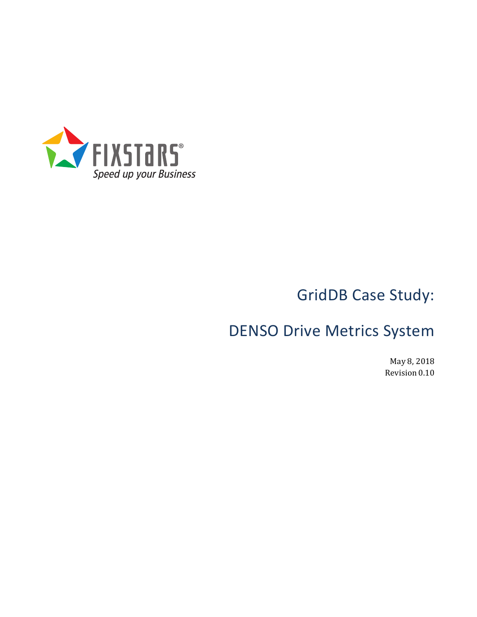

# GridDB Case Study:

## DENSO Drive Metrics System

May 8, 2018 Revision 0.10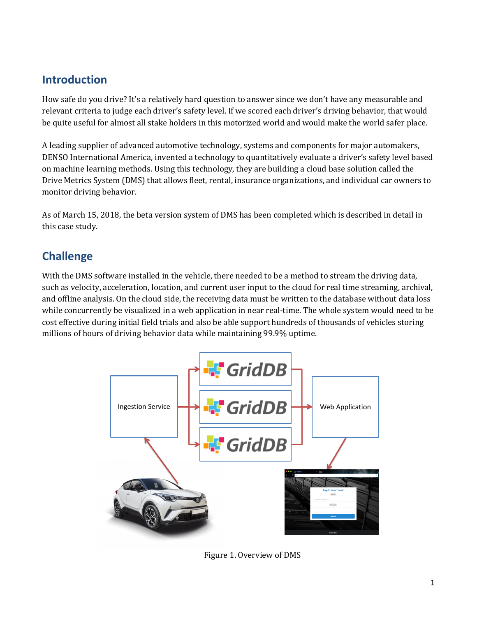### **Introduction**

How safe do you drive? It's a relatively hard question to answer since we don't have any measurable and relevant criteria to judge each driver's safety level. If we scored each driver's driving behavior, that would be quite useful for almost all stake holders in this motorized world and would make the world safer place.

A leading supplier of advanced automotive technology, systems and components for major automakers, DENSO International America, invented a technology to quantitatively evaluate a driver's safety level based on machine learning methods. Using this technology, they are building a cloud base solution called the Drive Metrics System (DMS) that allows fleet, rental, insurance organizations, and individual car owners to monitor driving behavior.

As of March 15, 2018, the beta version system of DMS has been completed which is described in detail in this case study.

## **Challenge**

With the DMS software installed in the vehicle, there needed to be a method to stream the driving data, such as velocity, acceleration, location, and current user input to the cloud for real time streaming, archival, and offline analysis. On the cloud side, the receiving data must be written to the database without data loss while concurrently be visualized in a web application in near real-time. The whole system would need to be cost effective during initial field trials and also be able support hundreds of thousands of vehicles storing millions of hours of driving behavior data while maintaining 99.9% uptime.



Figure 1. Overview of DMS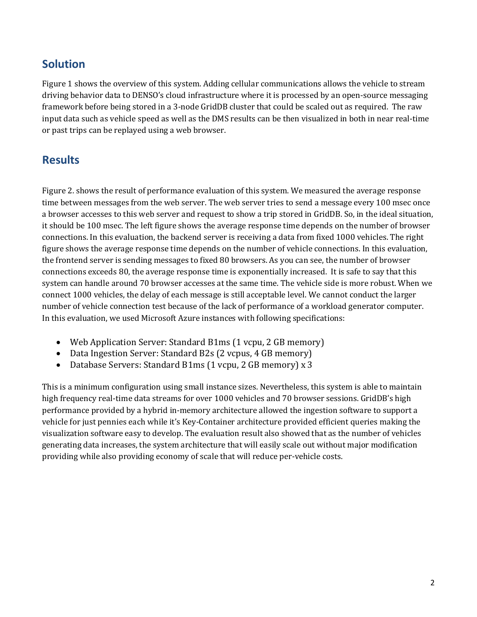#### **Solution**

Figure 1 shows the overview of this system. Adding cellular communications allows the vehicle to stream driving behavior data to DENSO's cloud infrastructure where it is processed by an open-source messaging framework before being stored in a 3-node GridDB cluster that could be scaled out as required. The raw input data such as vehicle speed as well as the DMS results can be then visualized in both in near real-time or past trips can be replayed using a web browser.

### **Results**

Figure 2. shows the result of performance evaluation of this system. We measured the average response time between messages from the web server. The web server tries to send a message every 100 msec once a browser accesses to this web server and request to show a trip stored in GridDB. So, in the ideal situation, it should be 100 msec. The left figure shows the average response time depends on the number of browser connections. In this evaluation, the backend server is receiving a data from fixed 1000 vehicles. The right figure shows the average response time depends on the number of vehicle connections. In this evaluation, the frontend server is sending messages to fixed 80 browsers. As you can see, the number of browser connections exceeds 80, the average response time is exponentially increased. It is safe to say that this system can handle around 70 browser accesses at the same time. The vehicle side is more robust. When we connect 1000 vehicles, the delay of each message is still acceptable level. We cannot conduct the larger number of vehicle connection test because of the lack of performance of a workload generator computer. In this evaluation, we used Microsoft Azure instances with following specifications:

- Web Application Server: Standard B1ms (1 vcpu, 2 GB memory)
- Data Ingestion Server: Standard B2s (2 vcpus, 4 GB memory)
- Database Servers: Standard B1ms (1 vcpu, 2 GB memory) x 3

This is a minimum configuration using small instance sizes. Nevertheless, this system is able to maintain high frequency real-time data streams for over 1000 vehicles and 70 browser sessions. GridDB's high performance provided by a hybrid in-memory architecture allowed the ingestion software to support a vehicle for just pennies each while it's Key-Container architecture provided efficient queries making the visualization software easy to develop. The evaluation result also showed that as the number of vehicles generating data increases, the system architecture that will easily scale out without major modification providing while also providing economy of scale that will reduce per-vehicle costs.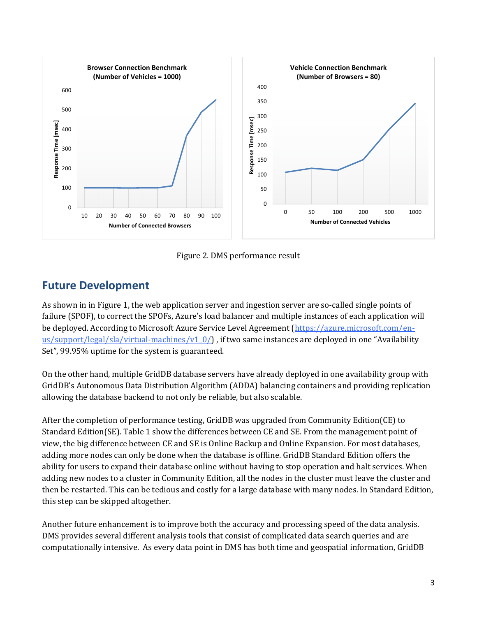

Figure 2. DMS performance result

## **Future Development**

As shown in in Figure 1, the web application server and ingestion server are so-called single points of failure (SPOF), to correct the SPOFs, Azure's load balancer and multiple instances of each application will be deployed. According to Microsoft Azure Service Level Agreement (https://azure.microsoft.com/enus/support/legal/sla/virtual-machines/v1\_0/) , if two same instances are deployed in one "Availability Set", 99.95% uptime for the system is guaranteed.

On the other hand, multiple GridDB database servers have already deployed in one availability group with GridDB's Autonomous Data Distribution Algorithm (ADDA) balancing containers and providing replication allowing the database backend to not only be reliable, but also scalable.

After the completion of performance testing, GridDB was upgraded from Community Edition(CE) to Standard Edition(SE). Table 1 show the differences between CE and SE. From the management point of view, the big difference between CE and SE is Online Backup and Online Expansion. For most databases, adding more nodes can only be done when the database is offline. GridDB Standard Edition offers the ability for users to expand their database online without having to stop operation and halt services. When adding new nodes to a cluster in Community Edition, all the nodes in the cluster must leave the cluster and then be restarted. This can be tedious and costly for a large database with many nodes. In Standard Edition, this step can be skipped altogether.

Another future enhancement is to improve both the accuracy and processing speed of the data analysis. DMS provides several different analysis tools that consist of complicated data search queries and are computationally intensive. As every data point in DMS has both time and geospatial information, GridDB